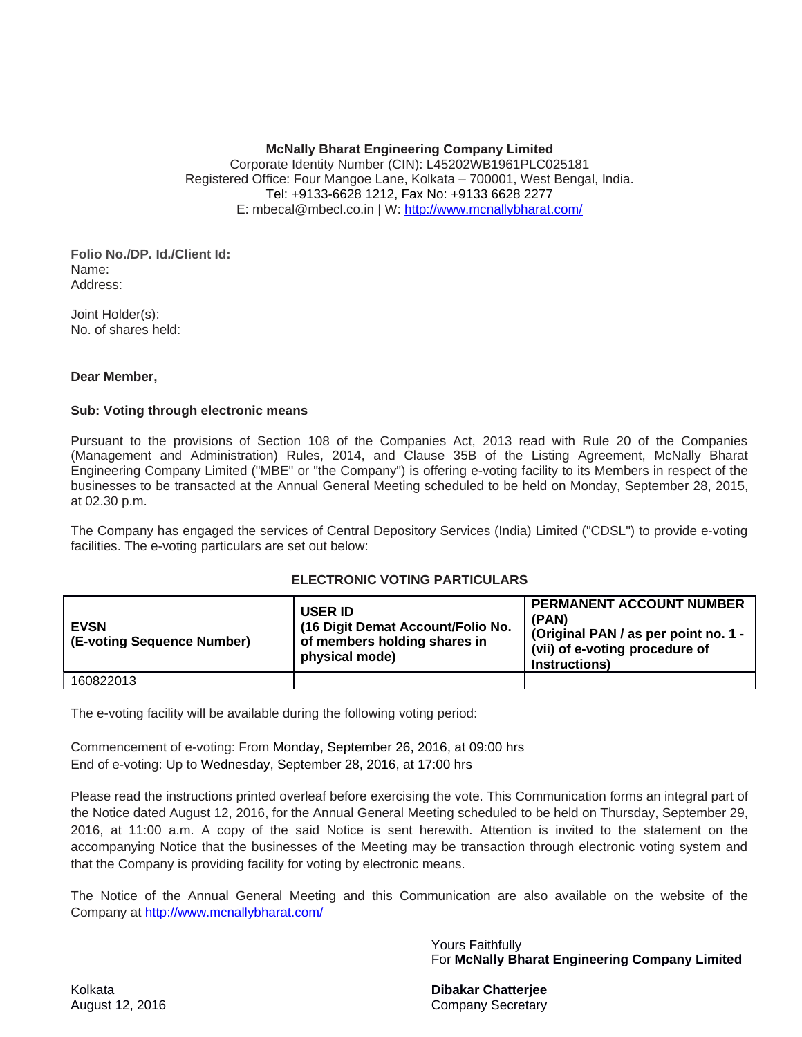#### **McNally Bharat Engineering Company Limited**

Corporate Identity Number (CIN): L45202WB1961PLC025181 Registered Office: Four Mangoe Lane, Kolkata – 700001, West Bengal, India. Tel: +9133-6628 1212, Fax No: +9133 6628 2277 E: mbecal@mbecl.co.in | W: http://www.mcnallybharat.com/

#### **Folio No./DP. Id./Client Id:**  Name: Address:

Joint Holder(s): No. of shares held:

### **Dear Member,**

### **Sub: Voting through electronic means**

Pursuant to the provisions of Section 108 of the Companies Act, 2013 read with Rule 20 of the Companies (Management and Administration) Rules, 2014, and Clause 35B of the Listing Agreement, McNally Bharat Engineering Company Limited ("MBE" or "the Company") is offering e-voting facility to its Members in respect of the businesses to be transacted at the Annual General Meeting scheduled to be held on Monday, September 28, 2015, at 02.30 p.m.

The Company has engaged the services of Central Depository Services (India) Limited ("CDSL") to provide e-voting facilities. The e-voting particulars are set out below:

## **ELECTRONIC VOTING PARTICULARS**

| <b>EVSN</b><br>(E-voting Sequence Number) | <b>USER ID</b><br>(16 Digit Demat Account/Folio No.<br>of members holding shares in<br>physical mode) | <b>PERMANENT ACCOUNT NUMBER</b><br>(PAN)<br>(Original PAN / as per point no. 1 -<br>(vii) of e-voting procedure of<br>Instructions) |
|-------------------------------------------|-------------------------------------------------------------------------------------------------------|-------------------------------------------------------------------------------------------------------------------------------------|
| 160822013                                 |                                                                                                       |                                                                                                                                     |

The e-voting facility will be available during the following voting period:

Commencement of e-voting: From Monday, September 26, 2016, at 09:00 hrs End of e-voting: Up to Wednesday, September 28, 2016, at 17:00 hrs

Please read the instructions printed overleaf before exercising the vote. This Communication forms an integral part of the Notice dated August 12, 2016, for the Annual General Meeting scheduled to be held on Thursday, September 29, 2016, at 11:00 a.m. A copy of the said Notice is sent herewith. Attention is invited to the statement on the accompanying Notice that the businesses of the Meeting may be transaction through electronic voting system and that the Company is providing facility for voting by electronic means.

The Notice of the Annual General Meeting and this Communication are also available on the website of the Company at http://www.mcnallybharat.com/

> Yours Faithfully For **McNally Bharat Engineering Company Limited**

Kolkata **Dibakar Chatterjee**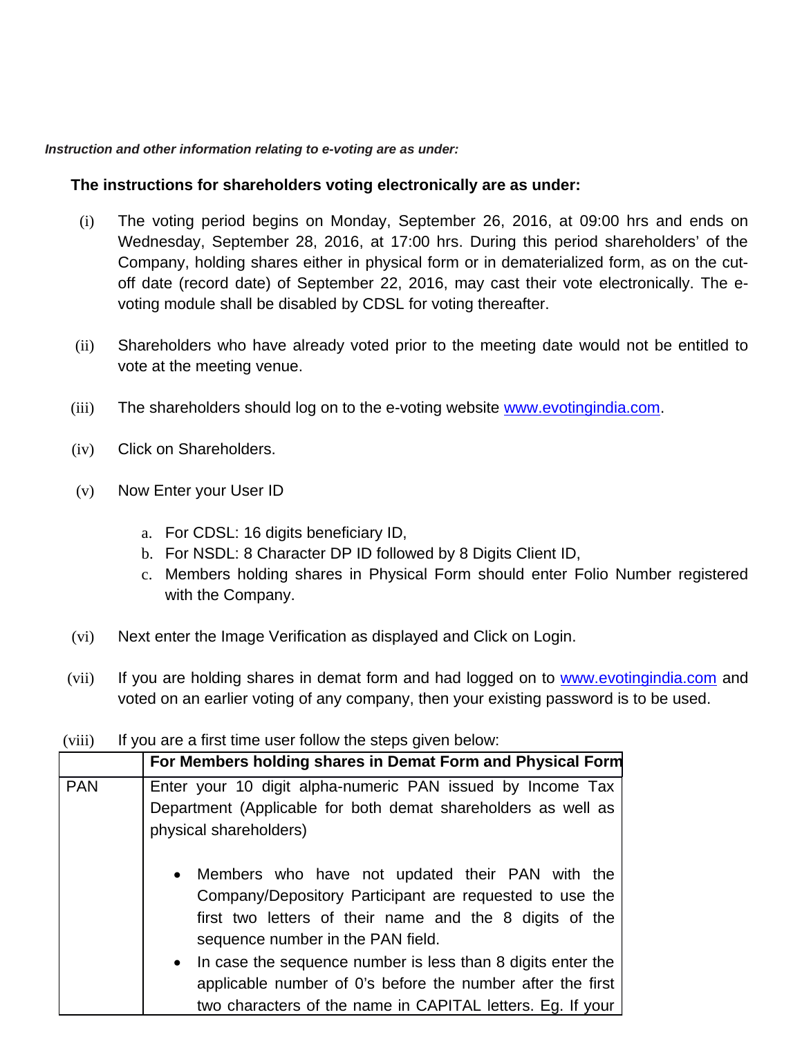## *Instruction and other information relating to e-voting are as under:*

# **The instructions for shareholders voting electronically are as under:**

- (i) The voting period begins on Monday, September 26, 2016, at 09:00 hrs and ends on Wednesday, September 28, 2016, at 17:00 hrs. During this period shareholders' of the Company, holding shares either in physical form or in dematerialized form, as on the cutoff date (record date) of September 22, 2016, may cast their vote electronically. The evoting module shall be disabled by CDSL for voting thereafter.
- (ii) Shareholders who have already voted prior to the meeting date would not be entitled to vote at the meeting venue.
- (iii) The shareholders should log on to the e-voting website www.evotingindia.com.
- (iv) Click on Shareholders.
- (v) Now Enter your User ID
	- a. For CDSL: 16 digits beneficiary ID,
	- b. For NSDL: 8 Character DP ID followed by 8 Digits Client ID,
	- c. Members holding shares in Physical Form should enter Folio Number registered with the Company.
- (vi) Next enter the Image Verification as displayed and Click on Login.
- (vii) If you are holding shares in demat form and had logged on to www.evotingindia.com and voted on an earlier voting of any company, then your existing password is to be used.

# (viii) If you are a first time user follow the steps given below:

|            | For Members holding shares in Demat Form and Physical Form                                                                                                                                                                                                                                                                                                                                                                      |  |
|------------|---------------------------------------------------------------------------------------------------------------------------------------------------------------------------------------------------------------------------------------------------------------------------------------------------------------------------------------------------------------------------------------------------------------------------------|--|
| <b>PAN</b> | Enter your 10 digit alpha-numeric PAN issued by Income Tax                                                                                                                                                                                                                                                                                                                                                                      |  |
|            | Department (Applicable for both demat shareholders as well as                                                                                                                                                                                                                                                                                                                                                                   |  |
|            | physical shareholders)                                                                                                                                                                                                                                                                                                                                                                                                          |  |
|            | Members who have not updated their PAN with the<br>$\bullet$<br>Company/Depository Participant are requested to use the<br>first two letters of their name and the 8 digits of the<br>sequence number in the PAN field.<br>In case the sequence number is less than 8 digits enter the<br>$\bullet$<br>applicable number of 0's before the number after the first<br>two characters of the name in CAPITAL letters. Eg. If your |  |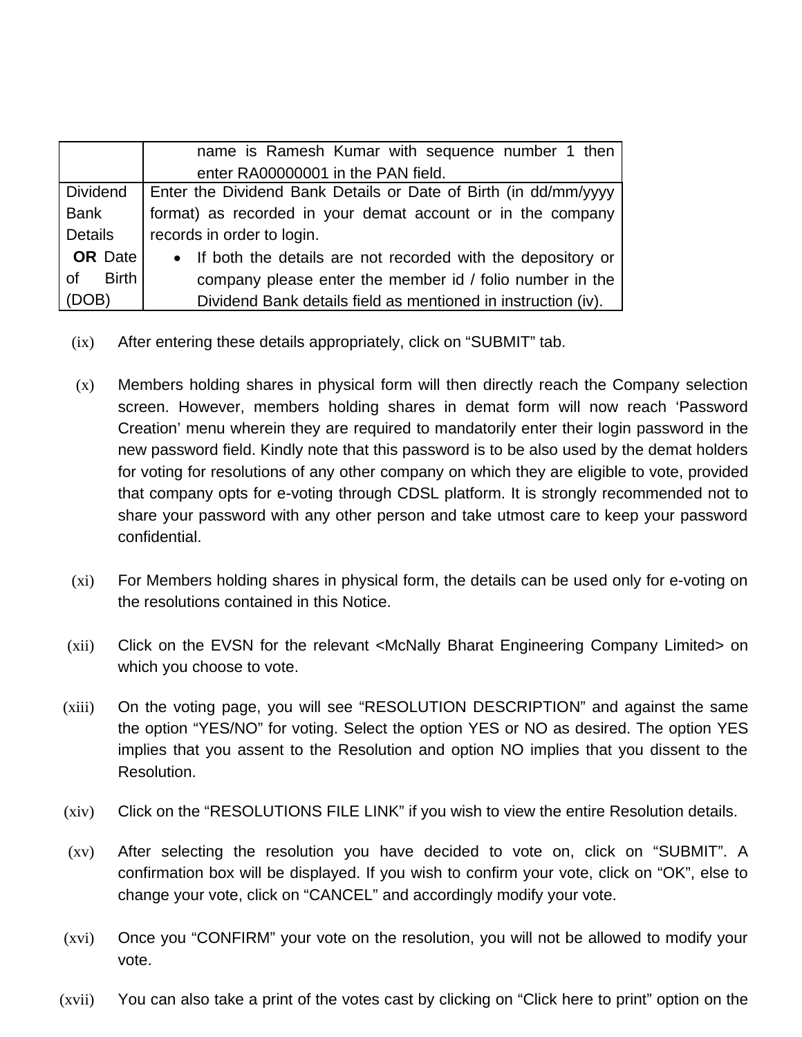|                    | name is Ramesh Kumar with sequence number 1 then                |  |
|--------------------|-----------------------------------------------------------------|--|
|                    | enter RA00000001 in the PAN field.                              |  |
| <b>Dividend</b>    | Enter the Dividend Bank Details or Date of Birth (in dd/mm/yyyy |  |
| Bank               | format) as recorded in your demat account or in the company     |  |
| Details            | records in order to login.                                      |  |
| <b>OR</b> Date     | • If both the details are not recorded with the depository or   |  |
| <b>Birth</b><br>0f | company please enter the member id / folio number in the        |  |
| (DOB)              | Dividend Bank details field as mentioned in instruction (iv).   |  |

- (ix) After entering these details appropriately, click on "SUBMIT" tab.
- (x) Members holding shares in physical form will then directly reach the Company selection screen. However, members holding shares in demat form will now reach 'Password Creation' menu wherein they are required to mandatorily enter their login password in the new password field. Kindly note that this password is to be also used by the demat holders for voting for resolutions of any other company on which they are eligible to vote, provided that company opts for e-voting through CDSL platform. It is strongly recommended not to share your password with any other person and take utmost care to keep your password confidential.
- (xi) For Members holding shares in physical form, the details can be used only for e-voting on the resolutions contained in this Notice.
- (xii) Click on the EVSN for the relevant <McNally Bharat Engineering Company Limited> on which you choose to vote.
- (xiii) On the voting page, you will see "RESOLUTION DESCRIPTION" and against the same the option "YES/NO" for voting. Select the option YES or NO as desired. The option YES implies that you assent to the Resolution and option NO implies that you dissent to the Resolution.
- (xiv) Click on the "RESOLUTIONS FILE LINK" if you wish to view the entire Resolution details.
- (xv) After selecting the resolution you have decided to vote on, click on "SUBMIT". A confirmation box will be displayed. If you wish to confirm your vote, click on "OK", else to change your vote, click on "CANCEL" and accordingly modify your vote.
- (xvi) Once you "CONFIRM" your vote on the resolution, you will not be allowed to modify your vote.
- (xvii) You can also take a print of the votes cast by clicking on "Click here to print" option on the